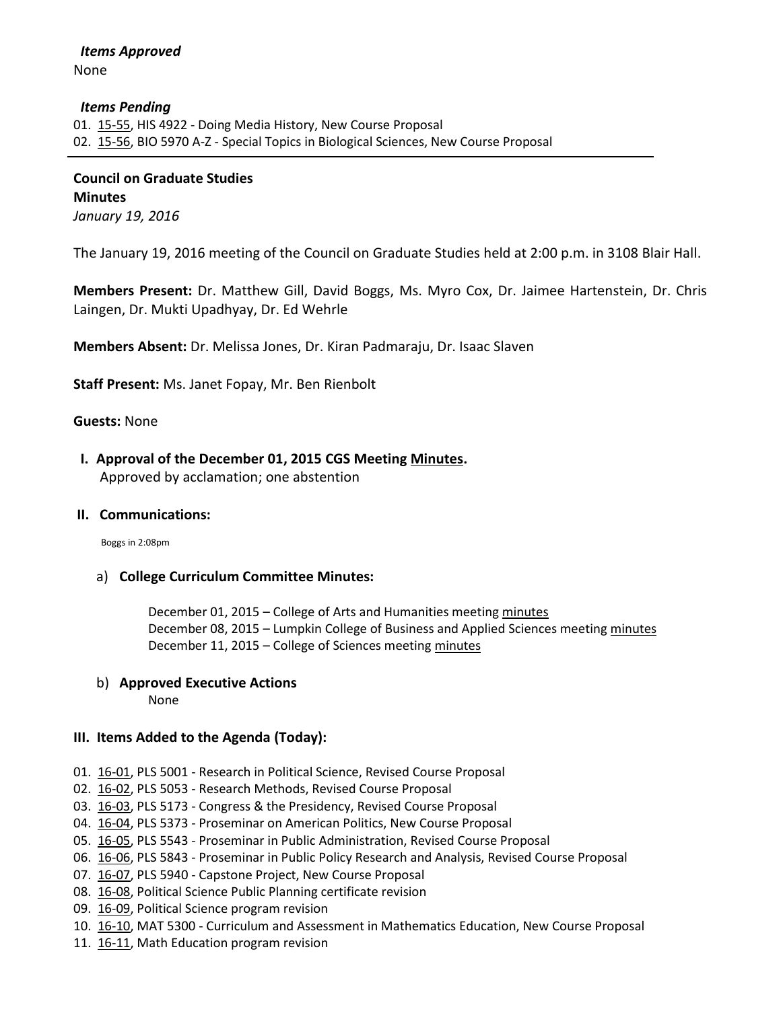#### *Items Pending*

01. [15-55,](http://castle.eiu.edu/~eiucgs/currentagendaitems/agenda15-55.pdf) HIS 4922 - Doing Media History, New Course Proposal 02. [15-56,](http://castle.eiu.edu/~eiucgs/currentagendaitems/agenda15-56.pdf) BIO 5970 A-Z - Special Topics in Biological Sciences, New Course Proposal

**Council on Graduate Studies Minutes** *January 19, 2016*

The January 19, 2016 meeting of the Council on Graduate Studies held at 2:00 p.m. in 3108 Blair Hall.

**Members Present:** Dr. Matthew Gill, David Boggs, Ms. Myro Cox, Dr. Jaimee Hartenstein, Dr. Chris Laingen, Dr. Mukti Upadhyay, Dr. Ed Wehrle

**Members Absent:** Dr. Melissa Jones, Dr. Kiran Padmaraju, Dr. Isaac Slaven

**Staff Present:** Ms. Janet Fopay, Mr. Ben Rienbolt

**Guests:** None

 **I. Approval of the December 01, 2015 CGS Meeting [Minutes.](http://castle.eiu.edu/eiucgs/currentminutes/Minutes12-01-15.pdf)** Approved by acclamation; one abstention

## **II. Communications:**

Boggs in 2:08pm

## a) **College Curriculum Committee Minutes:**

December 01, 2015 – College of Arts and Humanities meeting [minutes](http://castle.eiu.edu/~eiucgs/currentagendaitems/CAHMin12-01-15.pdf) December 08, 2015 – Lumpkin College of Business and Applied Sciences meetin[g minutes](http://castle.eiu.edu/~eiucgs/currentagendaitems/LCBASMin12-08-15.pdf) December 11, 2015 – College of Sciences meetin[g minutes](http://castle.eiu.edu/~eiucgs/currentagendaitems/COSMin12-11-15.pdf)

## b) **Approved Executive Actions**

None

## **III. Items Added to the Agenda (Today):**

- 01. [16-01,](http://castle.eiu.edu/~eiucgs/currentagendaitems/agenda16-01.pdf) PLS 5001 Research in Political Science, Revised Course Proposal
- 02. [16-02,](http://castle.eiu.edu/~eiucgs/currentagendaitems/agenda16-02.pdf) PLS 5053 Research Methods, Revised Course Proposal
- 03. [16-03,](http://castle.eiu.edu/~eiucgs/currentagendaitems/agenda16-03.pdf) PLS 5173 Congress & the Presidency, Revised Course Proposal
- 04. [16-04,](http://castle.eiu.edu/~eiucgs/currentagendaitems/agenda16-04.pdf) PLS 5373 Proseminar on American Politics, New Course Proposal
- 05. [16-05,](http://castle.eiu.edu/~eiucgs/currentagendaitems/agenda16-05.pdf) PLS 5543 Proseminar in Public Administration, Revised Course Proposal
- 06. [16-06,](http://castle.eiu.edu/~eiucgs/currentagendaitems/agenda16-06.pdf) PLS 5843 Proseminar in Public Policy Research and Analysis, Revised Course Proposal
- 07. [16-07,](http://castle.eiu.edu/~eiucgs/currentagendaitems/agenda16-07.pdf) PLS 5940 Capstone Project, New Course Proposal
- 08. [16-08,](http://castle.eiu.edu/~eiucgs/currentagendaitems/agenda16-08.pdf) Political Science Public Planning certificate revision
- 09. [16-09,](http://castle.eiu.edu/~eiucgs/currentagendaitems/agenda16-09.pdf) Political Science program revision
- 10. [16-10,](http://castle.eiu.edu/~eiucgs/currentagendaitems/agenda16-10.pdf) MAT 5300 Curriculum and Assessment in Mathematics Education, New Course Proposal
- 11. [16-11,](http://castle.eiu.edu/~eiucgs/currentagendaitems/agenda16-11.pdf) Math Education program revision